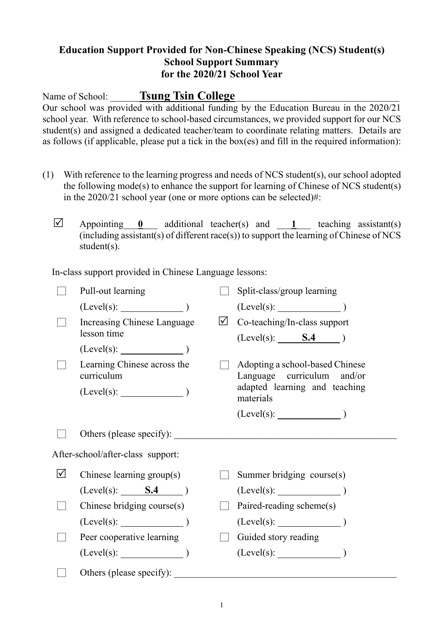## **Education Support Provided for Non-Chinese Speaking (NCS) Student(s) School Support Summary for the 2020/21 School Year**

Name of School: **Tsung Tsin College** 

Our school was provided with additional funding by the Education Bureau in the 2020/21 school year. With reference to school-based circumstances, we provided support for our NCS student(s) and assigned a dedicated teacher/team to coordinate relating matters. Details are as follows (if applicable, please put a tick in the box(es) and fill in the required information):

- (1) With reference to the learning progress and needs of NCS student(s), our school adopted the following mode(s) to enhance the support for learning of Chinese of NCS student(s) in the 2020/21 school year (one or more options can be selected)#:
	- $\overline{\vee}$  Appointing <u>0</u> additional teacher(s) and 1 teaching assistant(s)  $(including assistant(s) of different race(s))$  to support the learning of Chinese of NCS student(s).

In-class support provided in Chinese Language lessons:

|                                   | Pull-out learning                          |           | Split-class/group learning                                    |
|-----------------------------------|--------------------------------------------|-----------|---------------------------------------------------------------|
|                                   | (Level(s):                                 |           | (Level(s):                                                    |
|                                   | Increasing Chinese Language<br>lesson time | $\sqrt{}$ | Co-teaching/In-class support<br>$(Level(s):$ <b>S.4</b> $)$   |
|                                   | $(Level(s):$ $)$                           |           |                                                               |
|                                   | Learning Chinese across the<br>curriculum  |           | Adopting a school-based Chinese<br>Language curriculum and/or |
|                                   | $(Level(s):$ $)$                           |           | adapted learning and teaching<br>materials                    |
|                                   |                                            |           |                                                               |
|                                   | Others (please specify):                   |           |                                                               |
| After-school/after-class support: |                                            |           |                                                               |
| $\Delta$                          | Chinese learning group(s)                  |           | Summer bridging course(s)                                     |
|                                   | $(Level(s):$ <b>S.4</b> $)$                |           | $(Level(s):$ (Level(s): (1)                                   |
|                                   | Chinese bridging course(s)                 |           | Paired-reading scheme(s)                                      |
|                                   | (Level(s):                                 |           | $(Level(s):$ (Level(s):                                       |
|                                   | Peer cooperative learning                  |           | Guided story reading                                          |
|                                   | $(Level(s):$ (Level(s):                    |           |                                                               |
|                                   | Others (please specify):                   |           |                                                               |